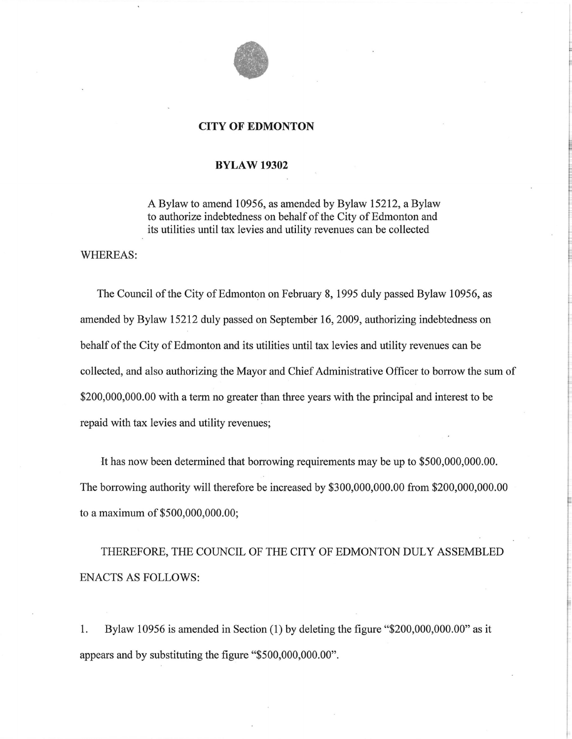

## **CITY OF EDMONTON**

## **BYLAW 19302**

A Bylaw to amend 10956, as amended by Bylaw 15212, a Bylaw to authorize indebtedness on behalf of the City of Edmonton and its utilities until tax levies and utility revenues can be collected

WHEREAS:

The Council of the City of Edmonton on February 8, 1995 duly passed Bylaw 10956, as amended by Bylaw 15212 duly passed on September 16, 2009, authorizing indebtedness on behalf of the City of Edmonton and its utilities until tax levies and utility revenues can be collected, and also authorizing the Mayor and Chief Administrative Officer to borrow the sum of \$200,000,000.00 with a term no greater than three years with the principal and interest to be repaid with tax levies and utility revenues;

It has now been determined that borrowing requirements may be up to \$500,000,000.00. The borrowing authority will therefore be increased by \$300,000,000.00 from \$200,000,000.00 to a maximum of \$500,000,000.00;

THEREFORE, THE COUNCIL OF THE CITY OF EDMONTON DULY ASSEMBLED ENACTS AS FOLLOWS:

1. Bylaw 10956 is amended in Section (1) by deleting the figure "\$200,000,000.00" as it appears and by substituting the figure "\$500,000,000.00".